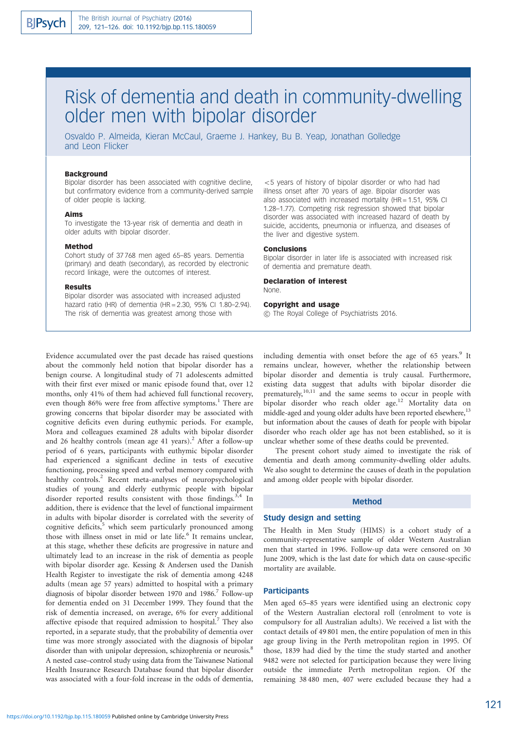# Risk of dementia and death in community-dwelling older men with bipolar disorder

Osvaldo P. Almeida, Kieran McCaul, Graeme J. Hankey, Bu B. Yeap, Jonathan Golledge and Leon Flicker

# Background

Bipolar disorder has been associated with cognitive decline, but confirmatory evidence from a community-derived sample of older people is lacking.

#### Aims

To investigate the 13-year risk of dementia and death in older adults with bipolar disorder.

#### Method

Cohort study of 37 768 men aged 65–85 years. Dementia (primary) and death (secondary), as recorded by electronic record linkage, were the outcomes of interest.

#### Results

Bipolar disorder was associated with increased adjusted hazard ratio (HR) of dementia (HR = 2.30, 95% CI 1.80–2.94). The risk of dementia was greatest among those with

 $<$  5 years of history of bipolar disorder or who had had illness onset after 70 years of age. Bipolar disorder was also associated with increased mortality ( $HR = 1.51$ , 95% CI 1.28–1.77). Competing risk regression showed that bipolar disorder was associated with increased hazard of death by suicide, accidents, pneumonia or influenza, and diseases of the liver and digestive system.

#### Conclusions

Bipolar disorder in later life is associated with increased risk of dementia and premature death.

# Declaration of interest

None.

# Copyright and usage

 $\odot$  The Royal College of Psychiatrists 2016.

Evidence accumulated over the past decade has raised questions about the commonly held notion that bipolar disorder has a benign course. A longitudinal study of 71 adolescents admitted with their first ever mixed or manic episode found that, over 12 months, only 41% of them had achieved full functional recovery, even though 86% were free from affective symptoms.<sup>1</sup> There are growing concerns that bipolar disorder may be associated with cognitive deficits even during euthymic periods. For example, Mora and colleagues examined 28 adults with bipolar disorder and 26 healthy controls (mean age 41 years).<sup>2</sup> After a follow-up period of 6 years, participants with euthymic bipolar disorder had experienced a significant decline in tests of executive functioning, processing speed and verbal memory compared with healthy controls.<sup>2</sup> Recent meta-analyses of neuropsychological studies of young and elderly euthymic people with bipolar disorder reported results consistent with those findings.<sup>3,4</sup> In addition, there is evidence that the level of functional impairment in adults with bipolar disorder is correlated with the severity of cognitive deficits,<sup>5</sup> which seem particularly pronounced among those with illness onset in mid or late life.<sup>6</sup> It remains unclear, at this stage, whether these deficits are progressive in nature and ultimately lead to an increase in the risk of dementia as people with bipolar disorder age. Kessing & Andersen used the Danish Health Register to investigate the risk of dementia among 4248 adults (mean age 57 years) admitted to hospital with a primary diagnosis of bipolar disorder between 1970 and 1986.7 Follow-up for dementia ended on 31 December 1999. They found that the risk of dementia increased, on average, 6% for every additional affective episode that required admission to hospital.<sup>7</sup> They also reported, in a separate study, that the probability of dementia over time was more strongly associated with the diagnosis of bipolar disorder than with unipolar depression, schizophrenia or neurosis.<sup>8</sup> A nested case–control study using data from the Taiwanese National Health Insurance Research Database found that bipolar disorder was associated with a four-fold increase in the odds of dementia,

including dementia with onset before the age of  $65$  years.<sup>9</sup> It remains unclear, however, whether the relationship between bipolar disorder and dementia is truly causal. Furthermore, existing data suggest that adults with bipolar disorder die prematurely,<sup>10,11</sup> and the same seems to occur in people with bipolar disorder who reach older age.<sup>12</sup> Mortality data on middle-aged and young older adults have been reported elsewhere,<sup>13</sup> but information about the causes of death for people with bipolar disorder who reach older age has not been established, so it is unclear whether some of these deaths could be prevented.

The present cohort study aimed to investigate the risk of dementia and death among community-dwelling older adults. We also sought to determine the causes of death in the population and among older people with bipolar disorder.

# Method

## Study design and setting

The Health in Men Study (HIMS) is a cohort study of a community-representative sample of older Western Australian men that started in 1996. Follow-up data were censored on 30 June 2009, which is the last date for which data on cause-specific mortality are available.

#### **Participants**

Men aged 65–85 years were identified using an electronic copy of the Western Australian electoral roll (enrolment to vote is compulsory for all Australian adults). We received a list with the contact details of 49 801 men, the entire population of men in this age group living in the Perth metropolitan region in 1995. Of those, 1839 had died by the time the study started and another 9482 were not selected for participation because they were living outside the immediate Perth metropolitan region. Of the remaining 38 480 men, 407 were excluded because they had a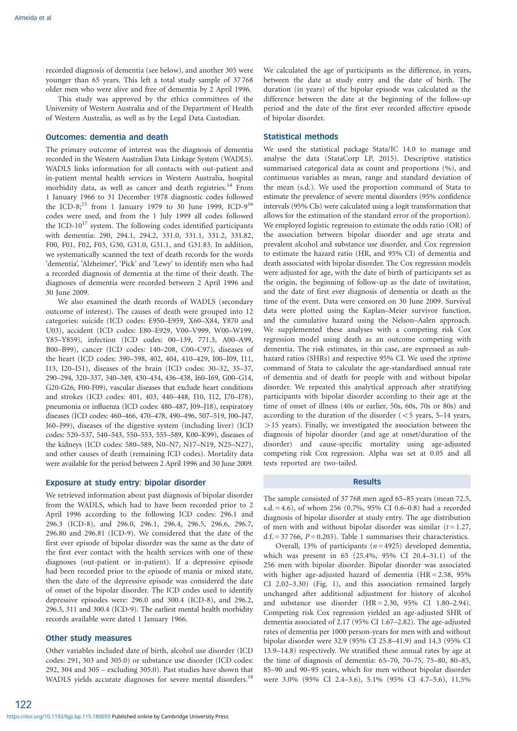recorded diagnosis of dementia (see below), and another 305 were younger than 65 years. This left a total study sample of 37 768 older men who were alive and free of dementia by 2 April 1996.

This study was approved by the ethics committees of the University of Western Australia and of the Department of Health of Western Australia, as well as by the Legal Data Custodian.

# Outcomes: dementia and death

The primary outcome of interest was the diagnosis of dementia recorded in the Western Australian Data Linkage System (WADLS). WADLS links information for all contacts with out-patient and in-patient mental health services in Western Australia, hospital morbidity data, as well as cancer and death registries.<sup>14</sup> From 1 January 1966 to 31 December 1978 diagnostic codes followed the ICD-8;<sup>15</sup> from 1 January 1979 to 30 June 1999, ICD-9<sup>16</sup> codes were used, and from the 1 July 1999 all codes followed the ICD- $10^{17}$  system. The following codes identified participants with dementia: 290, 294.1, 294.2, 331.0, 331.1, 331.2, 331.82, F00, F01, F02, F03, G30, G31.0, G31.1, and G31.83. In addition, we systematically scanned the text of death records for the words 'dementia', 'Alzheimer', 'Pick' and 'Lewy' to identify men who had a recorded diagnosis of dementia at the time of their death. The diagnoses of dementia were recorded between 2 April 1996 and 30 June 2009.

We also examined the death records of WADLS (secondary outcome of interest). The causes of death were grouped into 12 categories: suicide (ICD codes: E950–E959, X60–X84, Y870 and U03), accident (ICD codes: E80–E929, V00–V999, W00–W199, Y85–Y859), infection (ICD codes: 00–139, 771.3, A00–A99, B00–B99), cancer (ICD codes: 140–208, C00–C97), diseases of the heart (ICD codes: 390–398, 402, 404, 410–429, I00–I09, I11, I13, I20–I51), diseases of the brain (ICD codes: 30–32, 35–37, 290–294, 320–337, 340–349, 430–434, 436–438, I60–I69, G00–G14, G20-G26, F00-F09), vascular diseases that exclude heart conditions and strokes (ICD codes: 401, 403, 440–448, I10, I12, I70–I78), pneumonia or influenza (ICD codes: 480–487, J09–J18), respiratory diseases (ICD codes: 460–466, 470–478, 490–496, 507–519, J00–J47, J60–J99), diseases of the digestive system (including liver) (ICD codes: 520–537, 540–543, 550–553, 555–589, K00–K99), diseases of the kidneys (ICD codes: 580–589, N0–N7, N17–N19, N25–N27), and other causes of death (remaining ICD codes). Mortality data were available for the period between 2 April 1996 and 30 June 2009.

## Exposure at study entry: bipolar disorder

We retrieved information about past diagnosis of bipolar disorder from the WADLS, which had to have been recorded prior to 2 April 1996 according to the following ICD codes: 296.1 and 296.3 (ICD-8), and 296.0, 296.1, 296.4, 296.5, 296.6, 296.7, 296.80 and 296.81 (ICD-9). We considered that the date of the first ever episode of bipolar disorder was the same as the date of the first ever contact with the health services with one of these diagnoses (out-patient or in-patient). If a depressive episode had been recorded prior to the episode of mania or mixed state, then the date of the depressive episode was considered the date of onset of the bipolar disorder. The ICD codes used to identify depressive episodes were: 296.0 and 300.4 (ICD-8), and 296.2, 296.3, 311 and 300.4 (ICD-9). The earliest mental health morbidity records available were dated 1 January 1966.

# Other study measures

Other variables included date of birth, alcohol use disorder (ICD codes: 291, 303 and 305.0) or substance use disorder (ICD codes: 292, 304 and 305 – excluding 305.0). Past studies have shown that WADLS yields accurate diagnoses for severe mental disorders.<sup>18</sup> We calculated the age of participants as the difference, in years, between the date at study entry and the date of birth. The duration (in years) of the bipolar episode was calculated as the difference between the date at the beginning of the follow-up period and the date of the first ever recorded affective episode of bipolar disorder.

#### Statistical methods

We used the statistical package Stata/IC 14.0 to manage and analyse the data (StataCorp LP, 2015). Descriptive statistics summarised categorical data as count and proportions (%), and continuous variables as mean, range and standard deviation of the mean (s.d.). We used the proportion command of Stata to estimate the prevalence of severe mental disorders (95% confidence intervals (95% CIs) were calculated using a logit transformation that allows for the estimation of the standard error of the proportion). We employed logistic regression to estimate the odds ratio (OR) of the association between bipolar disorder and age strata and prevalent alcohol and substance use disorder, and Cox regression to estimate the hazard ratio (HR, and 95% CI) of dementia and death associated with bipolar disorder. The Cox regression models were adjusted for age, with the date of birth of participants set as the origin, the beginning of follow-up as the date of invitation, and the date of first ever diagnosis of dementia or death as the time of the event. Data were censored on 30 June 2009. Survival data were plotted using the Kaplan–Meier survivor function, and the cumulative hazard using the Nelson–Aalen approach. We supplemented these analyses with a competing risk Cox regression model using death as an outcome competing with dementia. The risk estimates, in this case, are expressed as subhazard ratios (SHRs) and respective 95% CI. We used the stptime command of Stata to calculate the age-standardised annual rate of dementia and of death for people with and without bipolar disorder. We repeated this analytical approach after stratifying participants with bipolar disorder according to their age at the time of onset of illness (40s or earlier, 50s, 60s, 70s or 80s) and according to the duration of the disorder  $(< 5$  years, 5–14 years,  $>$  15 years). Finally, we investigated the association between the diagnosis of bipolar disorder (and age at onset/duration of the disorder) and cause-specific mortality using age-adjusted competing risk Cox regression. Alpha was set at 0.05 and all tests reported are two-tailed.

## Results

The sample consisted of 37 768 men aged 65–85 years (mean 72.5, s.d. = 4.6), of whom 256 (0.7%, 95% CI 0.6–0.8) had a recorded diagnosis of bipolar disorder at study entry. The age distribution of men with and without bipolar disorder was similar  $(t = 1.27,$ d.f. = 37 766,  $P = 0.203$ ). Table 1 summarises their characteristics.

Overall, 13% of participants ( $n = 4925$ ) developed dementia, which was present in 65 (25.4%, 95% CI 20.4–31.1) of the 256 men with bipolar disorder. Bipolar disorder was associated with higher age-adjusted hazard of dementia (HR = 2.58, 95% CI 2.02–3.30) (Fig. 1), and this association remained largely unchanged after additional adjustment for history of alcohol and substance use disorder (HR = 2.30, 95% CI 1.80–2.94). Competing risk Cox regression yielded an age-adjusted SHR of dementia associated of 2.17 (95% CI 1.67–2.82). The age-adjusted rates of dementia per 1000 person-years for men with and without bipolar disorder were 32.9 (95% CI 25.8–41.9) and 14.3 (95% CI 13.9–14.8) respectively. We stratified these annual rates by age at the time of diagnosis of dementia: 65–70, 70–75, 75–80, 80–85, 85–90 and 90–95 years, which for men without bipolar disorder were 3.0% (95% CI 2.4–3.6), 5.1% (95% CI 4.7–5.6), 11.5%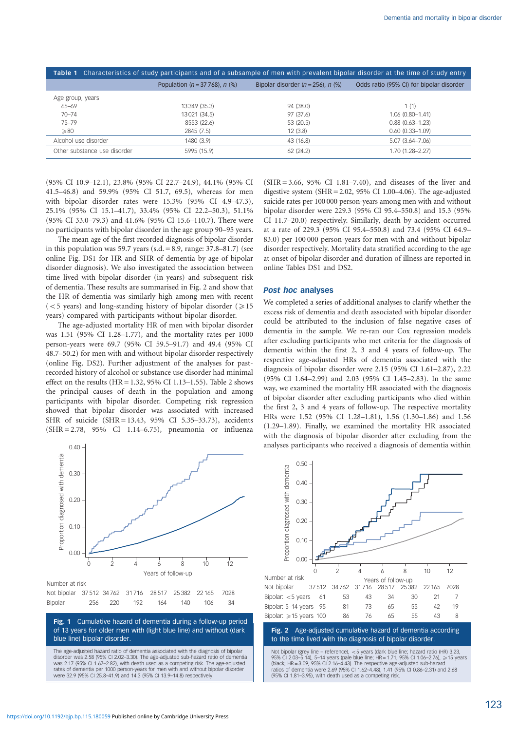| Table 1 Characteristics of study participants and of a subsample of men with prevalent bipolar disorder at the time of study entry |                                      |                                         |                                          |  |  |  |
|------------------------------------------------------------------------------------------------------------------------------------|--------------------------------------|-----------------------------------------|------------------------------------------|--|--|--|
|                                                                                                                                    | Population ( $n = 37,768$ ), $n$ (%) | Bipolar disorder $(n = 256)$ , n $(\%)$ | Odds ratio (95% CI) for bipolar disorder |  |  |  |
| Age group, years                                                                                                                   |                                      |                                         |                                          |  |  |  |
| $65 - 69$                                                                                                                          | 13 349 (35.3)                        | 94 (38.0)                               | 1(1)                                     |  |  |  |
| $70 - 74$                                                                                                                          | 13021 (34.5)                         | 97 (37.6)                               | $1.06(0.80 - 1.41)$                      |  |  |  |
| $75 - 79$                                                                                                                          | 8553 (22.6)                          | 53 (20.5)                               | $0.88(0.63 - 1.23)$                      |  |  |  |
| $\geqslant$ 80                                                                                                                     | 2845 (7.5)                           | 12(3.8)                                 | $0.60(0.33 - 1.09)$                      |  |  |  |
| Alcohol use disorder                                                                                                               | 1480 (3.9)                           | 43 (16.8)                               | $5.07(3.64 - 7.06)$                      |  |  |  |
| Other substance use disorder                                                                                                       | 5995 (15.9)                          | 62 (24.2)                               | 1.70 (1.28-2.27)                         |  |  |  |

(95% CI 10.9–12.1), 23.8% (95% CI 22.7–24.9), 44.1% (95% CI 41.5–46.8) and 59.9% (95% CI 51.7, 69.5), whereas for men with bipolar disorder rates were 15.3% (95% CI 4.9–47.3), 25.1% (95% CI 15.1–41.7), 33.4% (95% CI 22.2–50.3), 51.1% (95% CI 33.0–79.3) and 41.6% (95% CI 15.6–110.7). There were no participants with bipolar disorder in the age group 90–95 years.

The mean age of the first recorded diagnosis of bipolar disorder in this population was 59.7 years (s.d.  $= 8.9$ , range: 37.8–81.7) (see online Fig. DS1 for HR and SHR of dementia by age of bipolar disorder diagnosis). We also investigated the association between time lived with bipolar disorder (in years) and subsequent risk of dementia. These results are summarised in Fig. 2 and show that the HR of dementia was similarly high among men with recent  $(<$  5 years) and long-standing history of bipolar disorder ( $\ge$  15 years) compared with participants without bipolar disorder.

The age-adjusted mortality HR of men with bipolar disorder was 1.51 (95% CI 1.28–1.77), and the mortality rates per 1000 person-years were 69.7 (95% CI 59.5–91.7) and 49.4 (95% CI 48.7–50.2) for men with and without bipolar disorder respectively (online Fig. DS2). Further adjustment of the analyses for pastrecorded history of alcohol or substance use disorder had minimal effect on the results (HR = 1.32, 95% CI 1.13–1.55). Table 2 shows the principal causes of death in the population and among participants with bipolar disorder. Competing risk regression showed that bipolar disorder was associated with increased SHR of suicide (SHR = 13.43, 95% CI 5.35–33.73), accidents (SHR = 2.78, 95% CI 1.14–6.75), pneumonia or influenza

 $0.40$ 

(SHR = 3.66, 95% CI 1.81–7.40), and diseases of the liver and digestive system (SHR = 2.02, 95% CI 1.00–4.06). The age-adjusted suicide rates per 100 000 person-years among men with and without bipolar disorder were 229.3 (95% CI 95.4–550.8) and 15.3 (95% CI 11.7–20.0) respectively. Similarly, death by accident occurred at a rate of 229.3 (95% CI 95.4–550.8) and 73.4 (95% CI 64.9– 83.0) per 100 000 person-years for men with and without bipolar disorder respectively. Mortality data stratified according to the age at onset of bipolar disorder and duration of illness are reported in online Tables DS1 and DS2.

# Post hoc analyses

We completed a series of additional analyses to clarify whether the excess risk of dementia and death associated with bipolar disorder could be attributed to the inclusion of false negative cases of dementia in the sample. We re-ran our Cox regression models after excluding participants who met criteria for the diagnosis of dementia within the first 2, 3 and 4 years of follow-up. The respective age-adjusted HRs of dementia associated with the diagnosis of bipolar disorder were 2.15 (95% CI 1.61–2.87), 2.22 (95% CI 1.64–2.99) and 2.03 (95% CI 1.45–2.83). In the same way, we examined the mortality HR associated with the diagnosis of bipolar disorder after excluding participants who died within the first 2, 3 and 4 years of follow-up. The respective mortality HRs were 1.52 (95% CI 1.28–1.81), 1.56 (1.30–1.86) and 1.56 (1.29–1.89). Finally, we examined the mortality HR associated with the diagnosis of bipolar disorder after excluding from the analyses participants who received a diagnosis of dementia within

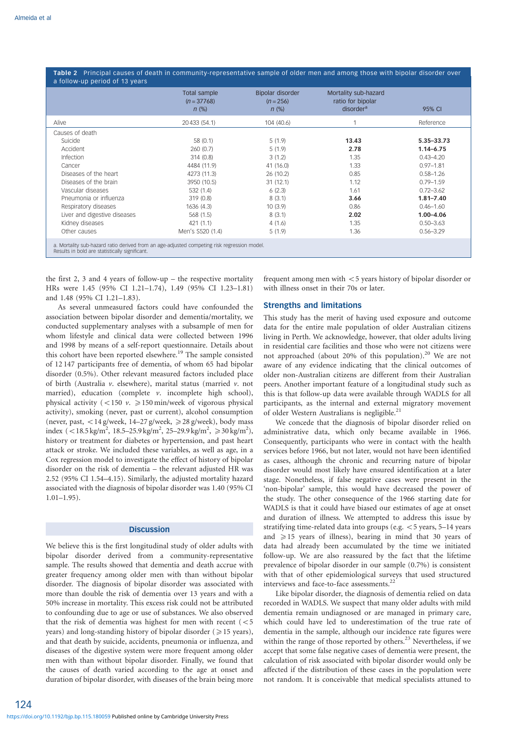Table 2 Principal causes of death in community-representative sample of older men and among those with bipolar disorder over a follow-up period of 13 years

|                                                                                                                                               | Total sample<br>$(n = 37768)$<br>$n$ (%) | Bipolar disorder<br>$(n = 256)$<br>$n$ (%) | Mortality sub-hazard<br>ratio for bipolar<br>disorder <sup>a</sup> | 95% CI                        |  |
|-----------------------------------------------------------------------------------------------------------------------------------------------|------------------------------------------|--------------------------------------------|--------------------------------------------------------------------|-------------------------------|--|
| Alive                                                                                                                                         | 20 433 (54.1)                            | 104 (40.6)                                 |                                                                    | Reference                     |  |
| Causes of death                                                                                                                               |                                          |                                            |                                                                    |                               |  |
| Suicide<br>Accident                                                                                                                           | 58 (0.1)<br>260(0.7)                     | 5(1.9)<br>5(1.9)                           | 13.43<br>2.78                                                      | 5.35 - 33.73<br>$1.14 - 6.75$ |  |
| Infection                                                                                                                                     | 314 (0.8)                                | 3(1.2)                                     | 1.35                                                               | $0.43 - 4.20$                 |  |
| Cancer                                                                                                                                        | 4484 (11.9)                              | 41 (16.0)                                  | 1.33                                                               | $0.97 - 1.81$                 |  |
| Diseases of the heart                                                                                                                         | 4273 (11.3)                              | 26 (10.2)                                  | 0.85                                                               | $0.58 - 1.26$                 |  |
| Diseases of the brain                                                                                                                         | 3950 (10.5)                              | 31(12.1)                                   | 1.12                                                               | $0.79 - 1.59$                 |  |
| Vascular diseases                                                                                                                             | 532 (1.4)                                | 6(2.3)                                     | 1.61                                                               | $0.72 - 3.62$                 |  |
| Pneumonia or influenza                                                                                                                        | 319(0.8)                                 | 8(3.1)                                     | 3.66                                                               | $1.81 - 7.40$                 |  |
| Respiratory diseases                                                                                                                          | 1636 (4.3)                               | 10(3.9)                                    | 0.86                                                               | $0.46 - 1.60$                 |  |
| Liver and digestive diseases                                                                                                                  | 568 (1.5)                                | 8(3.1)                                     | 2.02                                                               | $1.00 - 4.06$                 |  |
| Kidney diseases                                                                                                                               | 421(1.1)                                 | 4(1.6)                                     | 1.35                                                               | $0.50 - 3.63$                 |  |
| Other causes                                                                                                                                  | Men's S520 (1.4)                         | 5(1.9)                                     | 1.36                                                               | $0.56 - 3.29$                 |  |
| a. Mortality sub-hazard ratio derived from an age-adjusted competing risk regression model.<br>Results in bold are statistically significant. |                                          |                                            |                                                                    |                               |  |

the first 2, 3 and 4 years of follow-up – the respective mortality HRs were 1.45 (95% CI 1.21–1.74), 1.49 (95% CI 1.23–1.81) and 1.48 (95% CI 1.21–1.83).

As several unmeasured factors could have confounded the association between bipolar disorder and dementia/mortality, we conducted supplementary analyses with a subsample of men for whom lifestyle and clinical data were collected between 1996 and 1998 by means of a self-report questionnaire. Details about this cohort have been reported elsewhere.<sup>19</sup> The sample consisted of 12 147 participants free of dementia, of whom 65 had bipolar disorder (0.5%). Other relevant measured factors included place of birth (Australia v. elsewhere), marital status (married v. not married), education (complete  $\nu$ . incomplete high school), physical activity (<150  $v$ .  $\geq$ 150 min/week of vigorous physical activity), smoking (never, past or current), alcohol consumption (never, past,  $\langle 14 \text{ g/week}, 14-27 \text{ g/week}, \geq 28 \text{ g/week}, \text{ body mass} \rangle$ index  $(<18.5 \text{ kg/m}^2, 18.5-25.9 \text{ kg/m}^2, 25-29.9 \text{ kg/m}^2, \geq 30 \text{ kg/m}^2)$ , history or treatment for diabetes or hypertension, and past heart attack or stroke. We included these variables, as well as age, in a Cox regression model to investigate the effect of history of bipolar disorder on the risk of dementia – the relevant adjusted HR was 2.52 (95% CI 1.54–4.15). Similarly, the adjusted mortality hazard associated with the diagnosis of bipolar disorder was 1.40 (95% CI  $1.01-1.95$ ).

## **Discussion**

We believe this is the first longitudinal study of older adults with bipolar disorder derived from a community-representative sample. The results showed that dementia and death accrue with greater frequency among older men with than without bipolar disorder. The diagnosis of bipolar disorder was associated with more than double the risk of dementia over 13 years and with a 50% increase in mortality. This excess risk could not be attributed to confounding due to age or use of substances. We also observed that the risk of dementia was highest for men with recent  $(<5$ years) and long-standing history of bipolar disorder ( $\geq$  15 years), and that death by suicide, accidents, pneumonia or influenza, and diseases of the digestive system were more frequent among older men with than without bipolar disorder. Finally, we found that the causes of death varied according to the age at onset and duration of bipolar disorder, with diseases of the brain being more frequent among men with  $<$  5 years history of bipolar disorder or with illness onset in their 70s or later.

# Strengths and limitations

This study has the merit of having used exposure and outcome data for the entire male population of older Australian citizens living in Perth. We acknowledge, however, that older adults living in residential care facilities and those who were not citizens were not approached (about 20% of this population).<sup>20</sup> We are not aware of any evidence indicating that the clinical outcomes of older non-Australian citizens are different from their Australian peers. Another important feature of a longitudinal study such as this is that follow-up data were available through WADLS for all participants, as the internal and external migratory movement of older Western Australians is negligible.<sup>21</sup>

We concede that the diagnosis of bipolar disorder relied on administrative data, which only became available in 1966. Consequently, participants who were in contact with the health services before 1966, but not later, would not have been identified as cases, although the chronic and recurring nature of bipolar disorder would most likely have ensured identification at a later stage. Nonetheless, if false negative cases were present in the 'non-bipolar' sample, this would have decreased the power of the study. The other consequence of the 1966 starting date for WADLS is that it could have biased our estimates of age at onset and duration of illness. We attempted to address this issue by stratifying time-related data into groups (e.g.  $<$  5 years, 5–14 years and  $\geq$  15 years of illness), bearing in mind that 30 years of data had already been accumulated by the time we initiated follow-up. We are also reassured by the fact that the lifetime prevalence of bipolar disorder in our sample (0.7%) is consistent with that of other epidemiological surveys that used structured interviews and face-to-face assessments.<sup>22</sup>

Like bipolar disorder, the diagnosis of dementia relied on data recorded in WADLS. We suspect that many older adults with mild dementia remain undiagnosed or are managed in primary care, which could have led to underestimation of the true rate of dementia in the sample, although our incidence rate figures were within the range of those reported by others.<sup>23</sup> Nevertheless, if we accept that some false negative cases of dementia were present, the calculation of risk associated with bipolar disorder would only be affected if the distribution of these cases in the population were not random. It is conceivable that medical specialists attuned to

124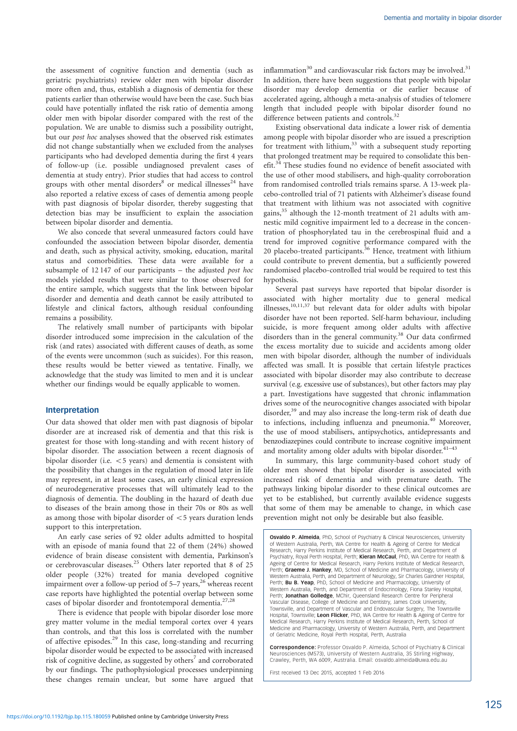the assessment of cognitive function and dementia (such as geriatric psychiatrists) review older men with bipolar disorder more often and, thus, establish a diagnosis of dementia for these patients earlier than otherwise would have been the case. Such bias could have potentially inflated the risk ratio of dementia among older men with bipolar disorder compared with the rest of the population. We are unable to dismiss such a possibility outright, but our post hoc analyses showed that the observed risk estimates did not change substantially when we excluded from the analyses participants who had developed dementia during the first 4 years of follow-up (i.e. possible undiagnosed prevalent cases of dementia at study entry). Prior studies that had access to control groups with other mental disorders<sup>8</sup> or medical illnesses<sup>24</sup> have also reported a relative excess of cases of dementia among people with past diagnosis of bipolar disorder, thereby suggesting that detection bias may be insufficient to explain the association between bipolar disorder and dementia.

We also concede that several unmeasured factors could have confounded the association between bipolar disorder, dementia and death, such as physical activity, smoking, education, marital status and comorbidities. These data were available for a subsample of 12 147 of our participants – the adjusted post hoc models yielded results that were similar to those observed for the entire sample, which suggests that the link between bipolar disorder and dementia and death cannot be easily attributed to lifestyle and clinical factors, although residual confounding remains a possibility.

The relatively small number of participants with bipolar disorder introduced some imprecision in the calculation of the risk (and rates) associated with different causes of death, as some of the events were uncommon (such as suicides). For this reason, these results would be better viewed as tentative. Finally, we acknowledge that the study was limited to men and it is unclear whether our findings would be equally applicable to women.

# Interpretation

Our data showed that older men with past diagnosis of bipolar disorder are at increased risk of dementia and that this risk is greatest for those with long-standing and with recent history of bipolar disorder. The association between a recent diagnosis of bipolar disorder (i.e.  $<$  5 years) and dementia is consistent with the possibility that changes in the regulation of mood later in life may represent, in at least some cases, an early clinical expression of neurodegenerative processes that will ultimately lead to the diagnosis of dementia. The doubling in the hazard of death due to diseases of the brain among those in their 70s or 80s as well as among those with bipolar disorder of  $<$  5 years duration lends support to this interpretation.

An early case series of 92 older adults admitted to hospital with an episode of mania found that 22 of them (24%) showed evidence of brain disease consistent with dementia, Parkinson's or cerebrovascular diseases.<sup>25</sup> Others later reported that 8 of 25 older people (32%) treated for mania developed cognitive impairment over a follow-up period of 5–7 years,<sup>26</sup> whereas recent case reports have highlighted the potential overlap between some cases of bipolar disorder and frontotemporal dementia.<sup>27,28</sup>

There is evidence that people with bipolar disorder lose more grey matter volume in the medial temporal cortex over 4 years than controls, and that this loss is correlated with the number of affective episodes.<sup>29</sup> In this case, long-standing and recurring bipolar disorder would be expected to be associated with increased risk of cognitive decline, as suggested by others<sup>7</sup> and corroborated by our findings. The pathophysiological processes underpinning these changes remain unclear, but some have argued that

inflammation $30$  and cardiovascular risk factors may be involved. $31$ In addition, there have been suggestions that people with bipolar disorder may develop dementia or die earlier because of accelerated ageing, although a meta-analysis of studies of telomere length that included people with bipolar disorder found no difference between patients and controls.<sup>32</sup>

Existing observational data indicate a lower risk of dementia among people with bipolar disorder who are issued a prescription for treatment with lithium,<sup>33</sup> with a subsequent study reporting that prolonged treatment may be required to consolidate this benefit.<sup>34</sup> These studies found no evidence of benefit associated with the use of other mood stabilisers, and high-quality corroboration from randomised controlled trials remains sparse. A 13-week placebo-controlled trial of 71 patients with Alzheimer's disease found that treatment with lithium was not associated with cognitive gains,<sup>35</sup> although the 12-month treatment of 21 adults with amnestic mild cognitive impairment led to a decrease in the concentration of phosphorylated tau in the cerebrospinal fluid and a trend for improved cognitive performance compared with the 20 placebo-treated participants.<sup>36</sup> Hence, treatment with lithium could contribute to prevent dementia, but a sufficiently powered randomised placebo-controlled trial would be required to test this hypothesis.

Several past surveys have reported that bipolar disorder is associated with higher mortality due to general medical illnesses,<sup>10,11,37</sup> but relevant data for older adults with bipolar disorder have not been reported. Self-harm behaviour, including suicide, is more frequent among older adults with affective disorders than in the general community.<sup>38</sup> Our data confirmed the excess mortality due to suicide and accidents among older men with bipolar disorder, although the number of individuals affected was small. It is possible that certain lifestyle practices associated with bipolar disorder may also contribute to decrease survival (e.g. excessive use of substances), but other factors may play a part. Investigations have suggested that chronic inflammation drives some of the neurocognitive changes associated with bipolar disorder,<sup>39</sup> and may also increase the long-term risk of death due to infections, including influenza and pneumonia.<sup>40</sup> Moreover, the use of mood stabilisers, antipsychotics, antidepressants and benzodiazepines could contribute to increase cognitive impairment and mortality among older adults with bipolar disorder. $41-43$ 

In summary, this large community-based cohort study of older men showed that bipolar disorder is associated with increased risk of dementia and with premature death. The pathways linking bipolar disorder to these clinical outcomes are yet to be established, but currently available evidence suggests that some of them may be amenable to change, in which case prevention might not only be desirable but also feasible.

Osvaldo P. Almeida, PhD, School of Psychiatry & Clinical Neurosciences, University of Western Australia, Perth, WA Centre for Health & Ageing of Centre for Medical Research, Harry Perkins Institute of Medical Research, Perth, and Department of Psychiatry, Royal Perth Hospital, Perth; **Kieran McCaul**, PhD, WA Centre for Health &<br>Ageing of Centre for Medical Research, Harry Perkins Institute of Medical Research, Perth; Graeme J. Hankey, MD, School of Medicine and Pharmacology, University of Western Australia, Perth, and Department of Neurology, Sir Charles Gairdner Hospital, Perth; Bu B. Yeap, PhD, School of Medicine and Pharmacology, University of Western Australia, Perth, and Department of Endocrinology, Fiona Stanley Hospital Perth; **Jonathan Golledge,** MChir, Queensland Research Centre for Peripheral<br>Vascular Disease, College of Medicine and Dentistry, James Cook University, Townsville, and Department of Vascular and Endovascular Surgery, The Townsville Hospital, Townsville; Leon Flicker, PhD, WA Centre for Health & Ageing of Centre for Medical Research, Harry Perkins Institute of Medical Research, Perth, School of Medicine and Pharmacology, University of Western Australia, Perth, and Department of Geriatric Medicine, Royal Perth Hospital, Perth, Australia

Correspondence: Professor Osvaldo P. Almeida, School of Psychiatry & Clinical Neurosciences (M573), University of Western Australia, 35 Stirling Highway, Crawley, Perth, WA 6009, Australia. Email: osvaldo.almeida@uwa.edu.au

First received 13 Dec 2015, accepted 1 Feb 2016